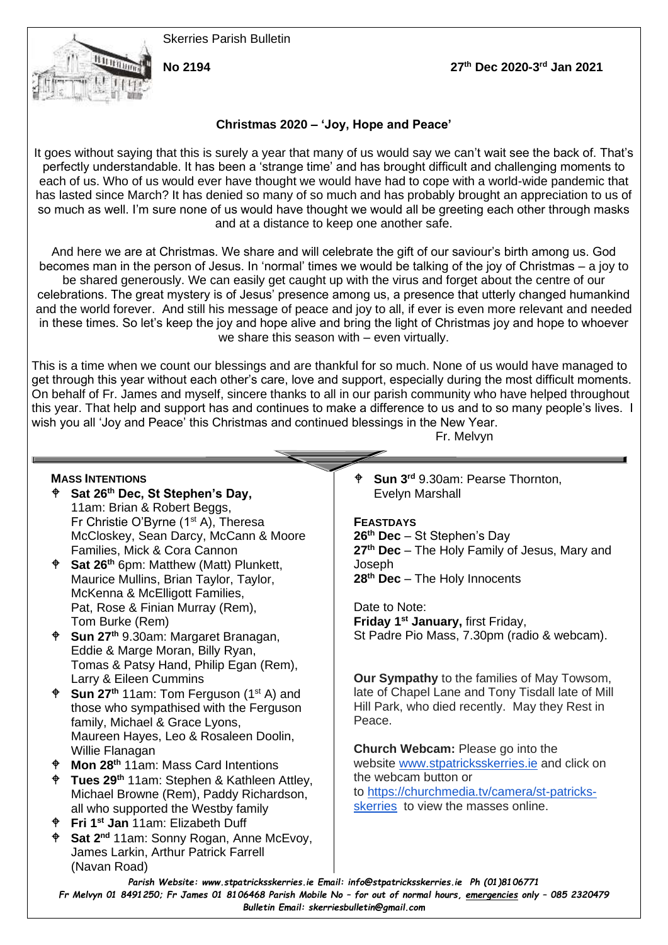Skerries Parish Bulletin



**No 2194 27th Dec 2020-3 rd Jan 2021**

# **Christmas 2020 – 'Joy, Hope and Peace'**

It goes without saying that this is surely a year that many of us would say we can't wait see the back of. That's perfectly understandable. It has been a 'strange time' and has brought difficult and challenging moments to each of us. Who of us would ever have thought we would have had to cope with a world-wide pandemic that has lasted since March? It has denied so many of so much and has probably brought an appreciation to us of so much as well. I'm sure none of us would have thought we would all be greeting each other through masks and at a distance to keep one another safe.

And here we are at Christmas. We share and will celebrate the gift of our saviour's birth among us. God becomes man in the person of Jesus. In 'normal' times we would be talking of the joy of Christmas – a joy to be shared generously. We can easily get caught up with the virus and forget about the centre of our celebrations. The great mystery is of Jesus' presence among us, a presence that utterly changed humankind and the world forever. And still his message of peace and joy to all, if ever is even more relevant and needed in these times. So let's keep the joy and hope alive and bring the light of Christmas joy and hope to whoever we share this season with – even virtually.

This is a time when we count our blessings and are thankful for so much. None of us would have managed to get through this year without each other's care, love and support, especially during the most difficult moments. On behalf of Fr. James and myself, sincere thanks to all in our parish community who have helped throughout this year. That help and support has and continues to make a difference to us and to so many people's lives. I wish you all 'Joy and Peace' this Christmas and continued blessings in the New Year.

Fr. Melvyn **MASS INTENTIONS Sat 26th Dec, St Stephen's Day,**  11am: Brian & Robert Beggs, Fr Christie O'Byrne (1<sup>st</sup> A), Theresa McCloskey, Sean Darcy, McCann & Moore Families, Mick & Cora Cannon **Sat 26th** 6pm: Matthew (Matt) Plunkett, Maurice Mullins, Brian Taylor, Taylor, McKenna & McElligott Families, Pat, Rose & Finian Murray (Rem), Tom Burke (Rem) **Sun 27th** 9.30am: Margaret Branagan, Eddie & Marge Moran, Billy Ryan, Tomas & Patsy Hand, Philip Egan (Rem), Larry & Eileen Cummins **Sun 27<sup>th</sup>** 11am: Tom Ferguson (1<sup>st</sup> A) and those who sympathised with the Ferguson family, Michael & Grace Lyons, Maureen Hayes, Leo & Rosaleen Doolin, Willie Flanagan **Mon 28th** 11am: Mass Card Intentions **Tues 29th** 11am: Stephen & Kathleen Attley, Michael Browne (Rem), Paddy Richardson, all who supported the Westby family **Fri 1st Jan** 11am: Elizabeth Duff **Sat 2nd** 11am: Sonny Rogan, Anne McEvoy, James Larkin, Arthur Patrick Farrell (Navan Road) **Sun 3rd** 9.30am: Pearse Thornton, Evelyn Marshall **FEASTDAYS 26th Dec** – St Stephen's Day **27th Dec** – The Holy Family of Jesus, Mary and **Joseph 28th Dec** – The Holy Innocents Date to Note: **Friday 1st January,** first Friday, St Padre Pio Mass, 7.30pm (radio & webcam). **Our Sympathy** to the families of May Towsom, late of Chapel Lane and Tony Tisdall late of Mill Hill Park, who died recently. May they Rest in Peace. **Church Webcam:** Please go into the website [www.stpatricksskerries.ie](http://www.stpatricksskerries.ie/) and click on the webcam button or to [https://churchmedia.tv/camera/st-patricks](https://churchmedia.tv/camera/st-patricks-skerries)[skerries](https://churchmedia.tv/camera/st-patricks-skerries) to view the masses online.

*Parish Website: www[.stpatricksskerries.ie](mailto:stpatricksskerries.ie) Email: [info@stpatricksskerries.ie](mailto:info@stpatricksskerries.ie) Ph (01)8106771 Fr Melvyn 01 8491250; Fr James 01 8106468 Parish Mobile No – for out of normal hours, emergencies only – 085 2320479 Bulletin Email: skerriesbulletin@gmail.com*